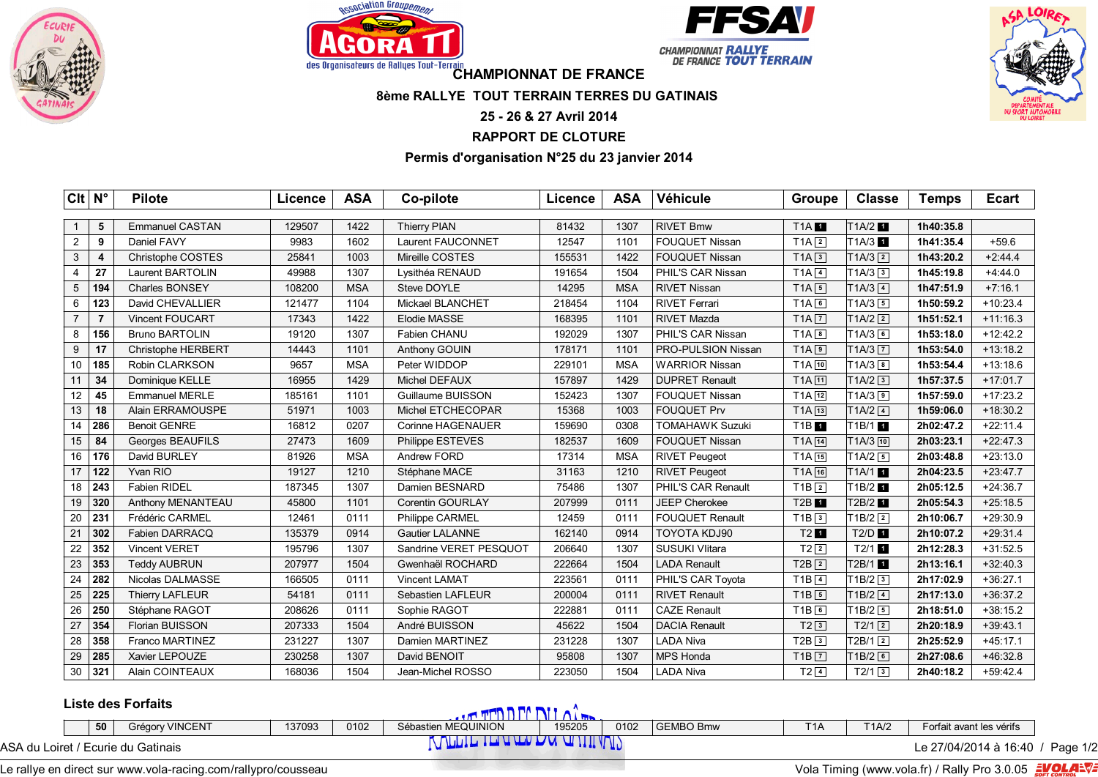







des Organisateurs de Rallyes Tout-Terrain<br> **CHAMPIONNAT DE FRANCE** 

## **8ème RALLYE TOUT TERRAIN TERRES DU GATINAIS**

## **25 - 26 & 27 Avril 2014**

## **RAPPORT DE CLOTURE**

## **Permis d'organisation N°25 du 23 janvier 2014**

| $Clt \mid N^{\circ}$ |                | <b>Pilote</b>             | Licence | <b>ASA</b> | Co-pilote              | Licence | <b>ASA</b> | Véhicule               | <b>Groupe</b>       | <b>Classe</b>          | <b>Temps</b> | <b>Ecart</b> |
|----------------------|----------------|---------------------------|---------|------------|------------------------|---------|------------|------------------------|---------------------|------------------------|--------------|--------------|
|                      |                |                           |         |            |                        |         |            |                        |                     |                        |              |              |
|                      | 5              | <b>Emmanuel CASTAN</b>    | 129507  | 1422       | <b>Thierry PIAN</b>    | 81432   | 1307       | <b>RIVET Bmw</b>       | <b>T1A</b>          | T <sub>1A/2</sub> 1    | 1h40:35.8    |              |
| $\overline{2}$       | 9              | Daniel FAVY               | 9983    | 1602       | Laurent FAUCONNET      | 12547   | 1101       | FOUQUET Nissan         | $T1A$ <sup>2</sup>  | T <sub>1</sub> A/3 1   | 1h41:35.4    | $+59.6$      |
| 3                    | 4              | Christophe COSTES         | 25841   | 1003       | Mireille COSTES        | 155531  | 1422       | FOUQUET Nissan         | $T1A$ <sup>3</sup>  | $T1A/3$ <sup>2</sup>   | 1h43:20.2    | $+2:44.4$    |
| $\overline{4}$       | 27             | <b>Laurent BARTOLIN</b>   | 49988   | 1307       | Lysithéa RENAUD        | 191654  | 1504       | PHIL'S CAR Nissan      | $T1A$ 4             | T1A/33                 | 1h45:19.8    | $+4:44.0$    |
| 5                    | 194            | Charles BONSEY            | 108200  | <b>MSA</b> | Steve DOYLE            | 14295   | <b>MSA</b> | <b>RIVET Nissan</b>    | $T1A$ 5             | $T1A/3$ $\boxed{4}$    | 1h47:51.9    | $+7:16.1$    |
| 6                    | 123            | David CHEVALLIER          | 121477  | 1104       | Mickael BLANCHET       | 218454  | 1104       | <b>RIVET Ferrari</b>   | TA6                 | $T1A/3$ 5              | 1h50:59.2    | $+10:23.4$   |
| $\overline{7}$       | $\overline{7}$ | <b>Vincent FOUCART</b>    | 17343   | 1422       | <b>Elodie MASSE</b>    | 168395  | 1101       | <b>RIVET Mazda</b>     | $T1A$ $7$           | $T1A/2$ <sup>2</sup>   | 1h51:52.1    | $+11:16.3$   |
| 8                    | 156            | <b>Bruno BARTOLIN</b>     | 19120   | 1307       | Fabien CHANU           | 192029  | 1307       | PHIL'S CAR Nissan      | $TA$ $8$            | $TIA/3$ 6              | 1h53:18.0    | $+12:42.2$   |
| 9                    | 17             | <b>Christophe HERBERT</b> | 14443   | 1101       | Anthony GOUIN          | 178171  | 1101       | PRO-PULSION Nissan     | TA9                 | $T1A/3$ $\boxed{7}$    | 1h53:54.0    | $+13:18.2$   |
| 10                   | 185            | Robin CLARKSON            | 9657    | <b>MSA</b> | Peter WIDDOP           | 229101  | <b>MSA</b> | <b>WARRIOR Nissan</b>  | $T1A$ $10$          | $TIA/3$ <sub>8</sub>   | 1h53:54.4    | $+13:18.6$   |
| 11                   | 34             | Dominique KELLE           | 16955   | 1429       | Michel DEFAUX          | 157897  | 1429       | <b>DUPRET Renault</b>  | $T1A$ $11$          | $T1A/2$ <sup>3</sup>   | 1h57:37.5    | $+17:01.7$   |
| 12                   | 45             | <b>Emmanuel MERLE</b>     | 185161  | 1101       | Guillaume BUISSON      | 152423  | 1307       | FOUQUET Nissan         | $T1A$ $12$          | $T1A/3$ 9              | 1h57:59.0    | $+17:23.2$   |
| 13                   | 18             | Alain ERRAMOUSPE          | 51971   | 1003       | Michel ETCHECOPAR      | 15368   | 1003       | <b>FOUQUET Prv</b>     | $T1A$ $13$          | $TA/2$ $4$             | 1h59:06.0    | $+18:30.2$   |
| 14                   | 286            | <b>Benoit GENRE</b>       | 16812   | 0207       | Corinne HAGENAUER      | 159690  | 0308       | <b>TOMAHAWK Suzuki</b> | <b>T1B</b>          | T <sub>1B/1</sub>      | 2h02:47.2    | $+22:11.4$   |
| 15                   | 84             | Georges BEAUFILS          | 27473   | 1609       | Philippe ESTEVES       | 182537  | 1609       | <b>FOUQUET Nissan</b>  | T1A 14              | $T1A/3$ 10             | 2h03:23.1    | $+22:47.3$   |
| 16                   | 176            | David BURLEY              | 81926   | <b>MSA</b> | Andrew FORD            | 17314   | <b>MSA</b> | <b>RIVET Peugeot</b>   | $T1A$ $15$          | $T1A/2$ 5              | 2h03:48.8    | $+23:13.0$   |
| 17                   | 122            | Yvan RIO                  | 19127   | 1210       | Stéphane MACE          | 31163   | 1210       | <b>RIVET Peugeot</b>   | T1A 16              | T <sub>1</sub> A/1     | 2h04:23.5    | $+23:47.7$   |
| 18                   | 243            | <b>Fabien RIDEL</b>       | 187345  | 1307       | Damien BESNARD         | 75486   | 1307       | PHIL'S CAR Renault     | $T1B$ <sup>2</sup>  | T <sub>1B/2</sub>      | 2h05:12.5    | $+24:36.7$   |
| 19                   | 320            | Anthony MENANTEAU         | 45800   | 1101       | Corentin GOURLAY       | 207999  | 0111       | JEEP Cherokee          | T2B 1               | T2B/2 1                | 2h05:54.3    | $+25:18.5$   |
| 20                   | 231            | Frédéric CARMEL           | 12461   | 0111       | Philippe CARMEL        | 12459   | 0111       | <b>FOUQUET Renault</b> | $T1B$ <sup>3</sup>  | $T1B/2$ <sup>2</sup>   | 2h10:06.7    | $+29:30.9$   |
| 21                   | 302            | Fabien DARRACQ            | 135379  | 0914       | <b>Gautier LALANNE</b> | 162140  | 0914       | TOYOTA KDJ90           | $T2$ $\blacksquare$ | $T2/D$ $\blacksquare$  | 2h10:07.2    | $+29:31.4$   |
| 22                   | 352            | <b>Vincent VERET</b>      | 195796  | 1307       | Sandrine VERET PESQUOT | 206640  | 1307       | <b>SUSUKI VIitara</b>  | $T2$ $2$            | $T2/1$ 1               | 2h12:28.3    | $+31:52.5$   |
| 23                   | 353            | <b>Teddy AUBRUN</b>       | 207977  | 1504       | Gwenhaël ROCHARD       | 222664  | 1504       | <b>LADA Renault</b>    | $T2B$ $2$           | $T2B/1$ $\blacksquare$ | 2h13:16.1    | $+32:40.3$   |
| 24                   | 282            | Nicolas DALMASSE          | 166505  | 0111       | <b>Vincent LAMAT</b>   | 223561  | 0111       | PHIL'S CAR Toyota      | $T1B$ <sup>4</sup>  | $T1B/2$ <sup>3</sup>   | 2h17:02.9    | $+36:27.1$   |
| 25                   | 225            | <b>Thierry LAFLEUR</b>    | 54181   | 0111       | Sebastien LAFLEUR      | 200004  | 0111       | <b>RIVET Renault</b>   | $T1B$ 5             | $T1B/2$ <sup>4</sup>   | 2h17:13.0    | $+36:37.2$   |
| 26                   | 250            | Stéphane RAGOT            | 208626  | 0111       | Sophie RAGOT           | 222881  | 0111       | <b>CAZE Renault</b>    | $T1B$ 6             | $T1B/2$ 5              | 2h18:51.0    | $+38:15.2$   |
| 27                   | 354            | Florian BUISSON           | 207333  | 1504       | André BUISSON          | 45622   | 1504       | <b>DACIA Renault</b>   | $T2\sqrt{3}$        | $T2/1$ $\boxed{2}$     | 2h20:18.9    | $+39:43.1$   |
| 28                   | 358            | Franco MARTINEZ           | 231227  | 1307       | Damien MARTINEZ        | 231228  | 1307       | <b>LADA Niva</b>       | $T2B$ $3$           | $T2B/1$ <sup>2</sup>   | 2h25:52.9    | $+45:17.1$   |
| 29                   | 285            | Xavier LEPOUZE            | 230258  | 1307       | David BENOIT           | 95808   | 1307       | <b>MPS Honda</b>       | $T1B$ $7$           | $T1B/2$ 6              | 2h27:08.6    | $+46:32.8$   |
| $30\,$               | 321            | Alain COINTEAUX           | 168036  | 1504       | Jean-Michel ROSSO      | 223050  | 1504       | <b>LADA Niva</b>       | $T2$ $4$            | $T2/1$ $3$             | 2h40:18.2    | $+59:42.4$   |

### **Liste des Forfaits**

|  |    | LIJIG UGJ I VITAILJ                |        |      | 430 T               |        |      |             |                  |       |                          |          |
|--|----|------------------------------------|--------|------|---------------------|--------|------|-------------|------------------|-------|--------------------------|----------|
|  | 50 | <b>Grégory VINCENT</b>             | 137093 | 0102 | Sébastien MEQUINION | 195205 | 0102 | I GEMBO Bmw | T <sub>1</sub> A | T1A/2 | Forfait avant les vérifs |          |
|  |    | ASA du Loiret / Ecurie du Gatinais |        |      | <b>NULLA</b>        |        |      |             |                  |       | Le 27/04/2014 à 16:40 /  | Page 1/2 |

Le rallye en direct sur www.vola-racing.com/rallypro/cousseau Vola Timing (www.vola.fr) / Rally Pro 3.0.05 avgusting